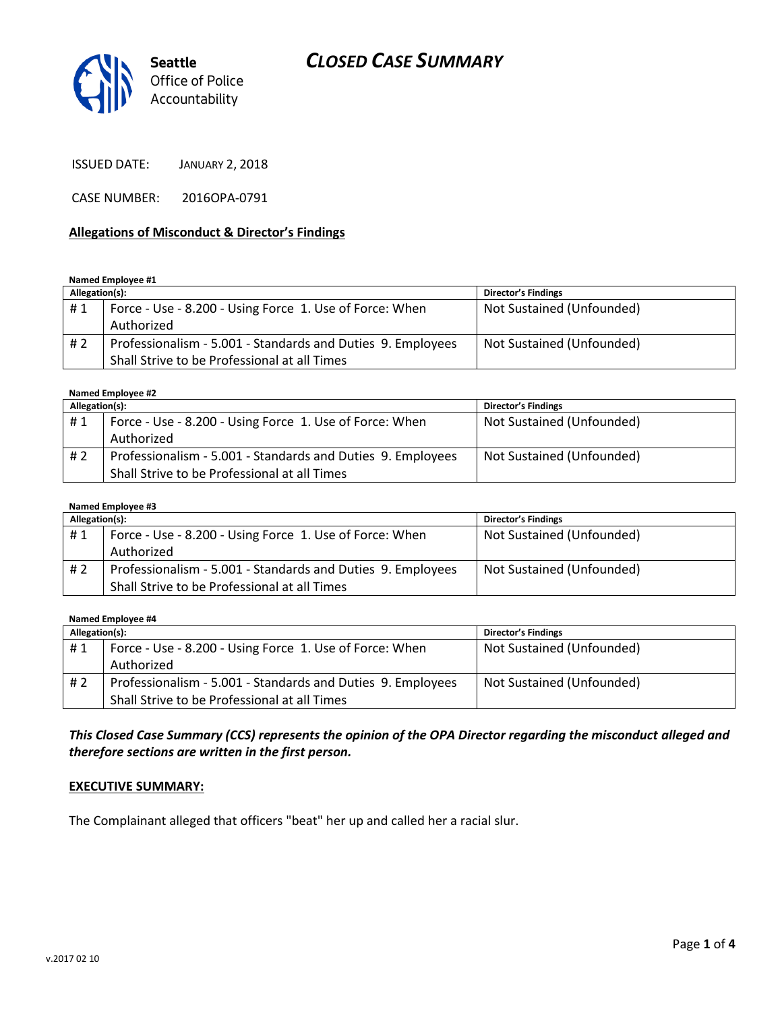# *CLOSED CASE SUMMARY*



ISSUED DATE: JANUARY 2, 2018

CASE NUMBER: 2016OPA-0791

#### **Allegations of Misconduct & Director's Findings**

**Named Employee #1**

| Allegation(s): |                                                             | <b>Director's Findings</b> |
|----------------|-------------------------------------------------------------|----------------------------|
| #1             | Force - Use - 8.200 - Using Force 1. Use of Force: When     | Not Sustained (Unfounded)  |
|                | Authorized                                                  |                            |
| #2             | Professionalism - 5.001 - Standards and Duties 9. Employees | Not Sustained (Unfounded)  |
|                | Shall Strive to be Professional at all Times                |                            |

#### **Named Employee #2**

| Allegation(s): |                                                             | Director's Findings       |
|----------------|-------------------------------------------------------------|---------------------------|
| #1             | Force - Use - 8.200 - Using Force 1. Use of Force: When     | Not Sustained (Unfounded) |
|                | Authorized                                                  |                           |
| #2             | Professionalism - 5.001 - Standards and Duties 9. Employees | Not Sustained (Unfounded) |
|                | Shall Strive to be Professional at all Times                |                           |

#### **Named Employee #3**

| Allegation(s): |                                                             | <b>Director's Findings</b> |
|----------------|-------------------------------------------------------------|----------------------------|
| #1             | Force - Use - 8.200 - Using Force 1. Use of Force: When     | Not Sustained (Unfounded)  |
|                | Authorized                                                  |                            |
| # 2            | Professionalism - 5.001 - Standards and Duties 9. Employees | Not Sustained (Unfounded)  |
|                | Shall Strive to be Professional at all Times                |                            |

**Named Employee #4**

| Allegation(s): |                                                             | <b>Director's Findings</b> |
|----------------|-------------------------------------------------------------|----------------------------|
| #1             | Force - Use - 8.200 - Using Force 1. Use of Force: When     | Not Sustained (Unfounded)  |
|                | Authorized                                                  |                            |
| #2             | Professionalism - 5.001 - Standards and Duties 9. Employees | Not Sustained (Unfounded)  |
|                | Shall Strive to be Professional at all Times                |                            |

*This Closed Case Summary (CCS) represents the opinion of the OPA Director regarding the misconduct alleged and therefore sections are written in the first person.* 

#### **EXECUTIVE SUMMARY:**

The Complainant alleged that officers "beat" her up and called her a racial slur.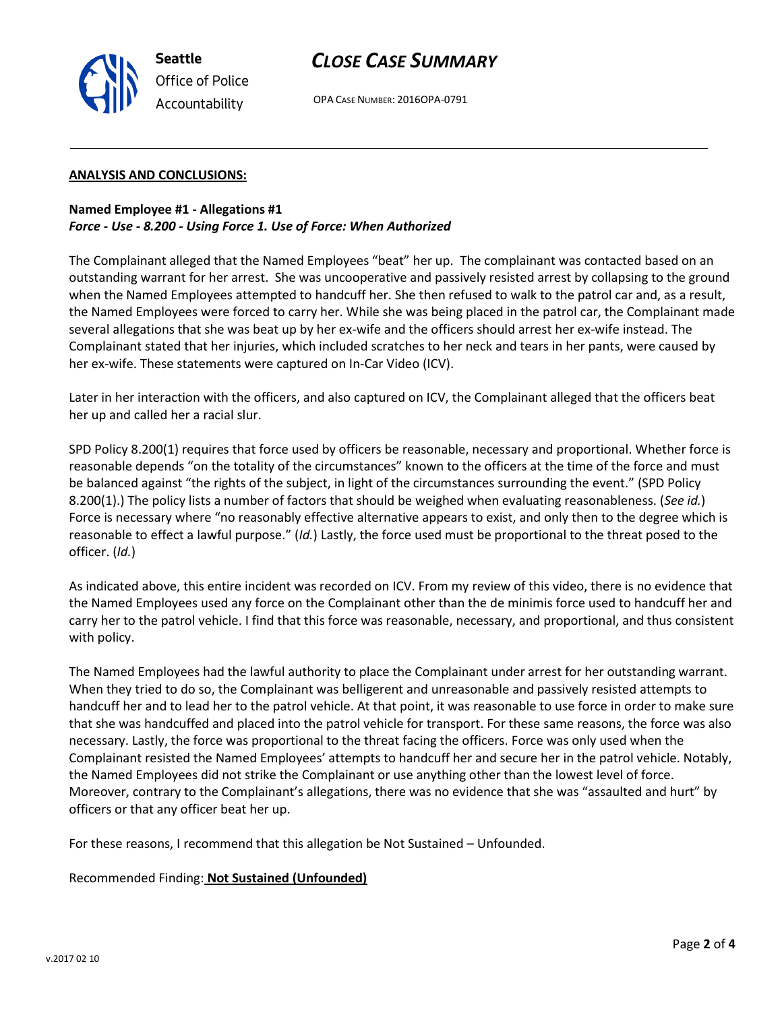

# *CLOSE CASE SUMMARY*

OPA CASE NUMBER: 2016OPA-0791

#### **ANALYSIS AND CONCLUSIONS:**

### **Named Employee #1 - Allegations #1** *Force - Use - 8.200 - Using Force 1. Use of Force: When Authorized*

The Complainant alleged that the Named Employees "beat" her up. The complainant was contacted based on an outstanding warrant for her arrest. She was uncooperative and passively resisted arrest by collapsing to the ground when the Named Employees attempted to handcuff her. She then refused to walk to the patrol car and, as a result, the Named Employees were forced to carry her. While she was being placed in the patrol car, the Complainant made several allegations that she was beat up by her ex-wife and the officers should arrest her ex-wife instead. The Complainant stated that her injuries, which included scratches to her neck and tears in her pants, were caused by her ex-wife. These statements were captured on In-Car Video (ICV).

Later in her interaction with the officers, and also captured on ICV, the Complainant alleged that the officers beat her up and called her a racial slur.

SPD Policy 8.200(1) requires that force used by officers be reasonable, necessary and proportional. Whether force is reasonable depends "on the totality of the circumstances" known to the officers at the time of the force and must be balanced against "the rights of the subject, in light of the circumstances surrounding the event." (SPD Policy 8.200(1).) The policy lists a number of factors that should be weighed when evaluating reasonableness. (*See id.*) Force is necessary where "no reasonably effective alternative appears to exist, and only then to the degree which is reasonable to effect a lawful purpose." (*Id.*) Lastly, the force used must be proportional to the threat posed to the officer. (*Id.*)

As indicated above, this entire incident was recorded on ICV. From my review of this video, there is no evidence that the Named Employees used any force on the Complainant other than the de minimis force used to handcuff her and carry her to the patrol vehicle. I find that this force was reasonable, necessary, and proportional, and thus consistent with policy.

The Named Employees had the lawful authority to place the Complainant under arrest for her outstanding warrant. When they tried to do so, the Complainant was belligerent and unreasonable and passively resisted attempts to handcuff her and to lead her to the patrol vehicle. At that point, it was reasonable to use force in order to make sure that she was handcuffed and placed into the patrol vehicle for transport. For these same reasons, the force was also necessary. Lastly, the force was proportional to the threat facing the officers. Force was only used when the Complainant resisted the Named Employees' attempts to handcuff her and secure her in the patrol vehicle. Notably, the Named Employees did not strike the Complainant or use anything other than the lowest level of force. Moreover, contrary to the Complainant's allegations, there was no evidence that she was "assaulted and hurt" by officers or that any officer beat her up.

For these reasons, I recommend that this allegation be Not Sustained – Unfounded.

Recommended Finding: **Not Sustained (Unfounded)**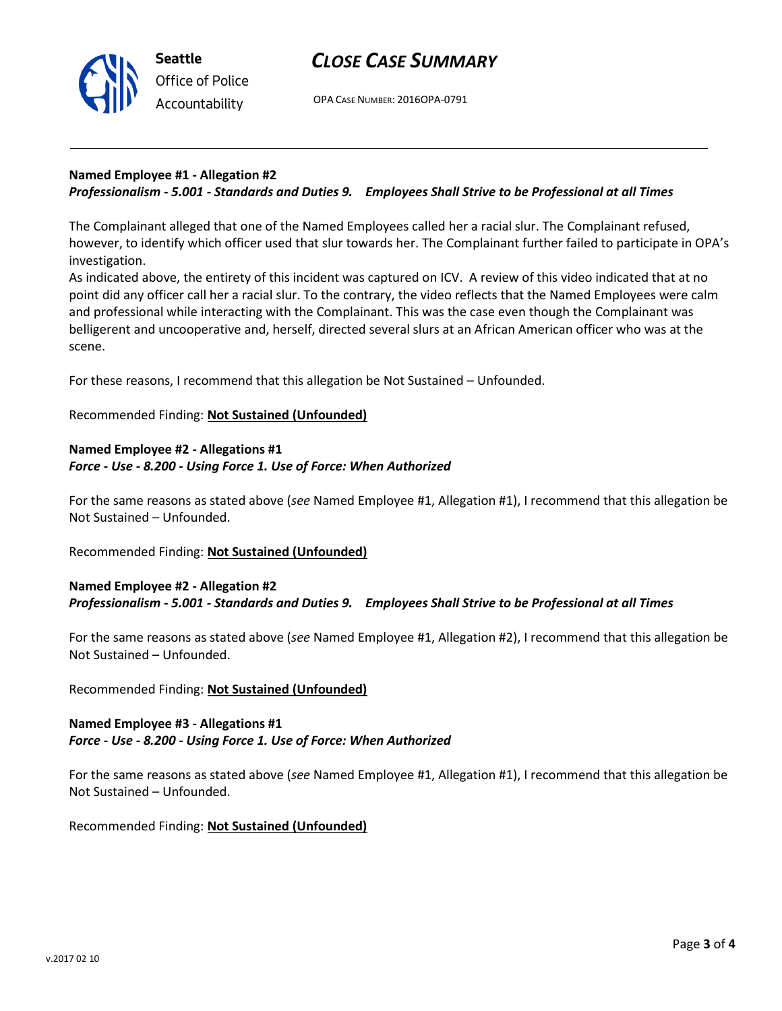



OPA CASE NUMBER: 2016OPA-0791

#### **Named Employee #1 - Allegation #2** *Professionalism - 5.001 - Standards and Duties 9. Employees Shall Strive to be Professional at all Times*

The Complainant alleged that one of the Named Employees called her a racial slur. The Complainant refused, however, to identify which officer used that slur towards her. The Complainant further failed to participate in OPA's investigation.

As indicated above, the entirety of this incident was captured on ICV. A review of this video indicated that at no point did any officer call her a racial slur. To the contrary, the video reflects that the Named Employees were calm and professional while interacting with the Complainant. This was the case even though the Complainant was belligerent and uncooperative and, herself, directed several slurs at an African American officer who was at the scene.

For these reasons, I recommend that this allegation be Not Sustained – Unfounded.

### Recommended Finding: **Not Sustained (Unfounded)**

#### **Named Employee #2 - Allegations #1** *Force - Use - 8.200 - Using Force 1. Use of Force: When Authorized*

For the same reasons as stated above (*see* Named Employee #1, Allegation #1), I recommend that this allegation be Not Sustained – Unfounded.

Recommended Finding: **Not Sustained (Unfounded)**

## **Named Employee #2 - Allegation #2** *Professionalism - 5.001 - Standards and Duties 9. Employees Shall Strive to be Professional at all Times*

For the same reasons as stated above (*see* Named Employee #1, Allegation #2), I recommend that this allegation be Not Sustained – Unfounded.

Recommended Finding: **Not Sustained (Unfounded)**

## **Named Employee #3 - Allegations #1** *Force - Use - 8.200 - Using Force 1. Use of Force: When Authorized*

For the same reasons as stated above (*see* Named Employee #1, Allegation #1), I recommend that this allegation be Not Sustained – Unfounded.

Recommended Finding: **Not Sustained (Unfounded)**